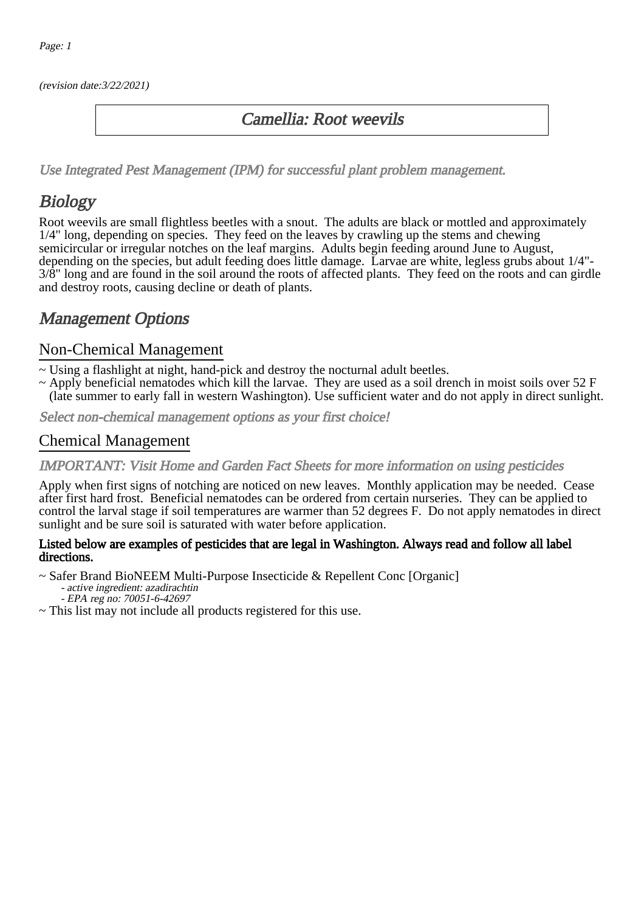(revision date:3/22/2021)

## Camellia: Root weevils

[Use Integrated Pest Management \(IPM\) for successful plant problem management.](http://pep.wsu.edu/Home_Garden/H_G_Pesticide_info/urban_Integrated_Pest_Managmen/)

# **Biology**

Root weevils are small flightless beetles with a snout. The adults are black or mottled and approximately 1/4" long, depending on species. They feed on the leaves by crawling up the stems and chewing semicircular or irregular notches on the leaf margins. Adults begin feeding around June to August, depending on the species, but adult feeding does little damage. Larvae are white, legless grubs about 1/4"- 3/8" long and are found in the soil around the roots of affected plants. They feed on the roots and can girdle and destroy roots, causing decline or death of plants.

## Management Options

#### Non-Chemical Management

- ~ Using a flashlight at night, hand-pick and destroy the nocturnal adult beetles.
- ~ Apply beneficial nematodes which kill the larvae. They are used as a soil drench in moist soils over 52 F (late summer to early fall in western Washington). Use sufficient water and do not apply in direct sunlight.

Select non-chemical management options as your first choice!

### Chemical Management

#### IMPORTANT: [Visit Home and Garden Fact Sheets for more information on using pesticides](http://pep.wsu.edu/Home_Garden/H_G_Pesticide_info/)

Apply when first signs of notching are noticed on new leaves. Monthly application may be needed. Cease after first hard frost. Beneficial nematodes can be ordered from certain nurseries. They can be applied to control the larval stage if soil temperatures are warmer than 52 degrees F. Do not apply nematodes in direct sunlight and be sure soil is saturated with water before application.

#### Listed below are examples of pesticides that are legal in Washington. Always read and follow all label directions.

~ Safer Brand BioNEEM Multi-Purpose Insecticide & Repellent Conc [Organic]

- active ingredient: azadirachtin - EPA reg no: 70051-6-42697

~ This list may not include all products registered for this use.